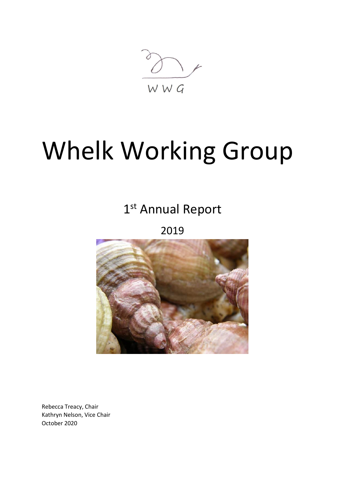WWG

# Whelk Working Group

# 1st Annual Report

2019



Rebecca Treacy, Chair Kathryn Nelson, Vice Chair October 2020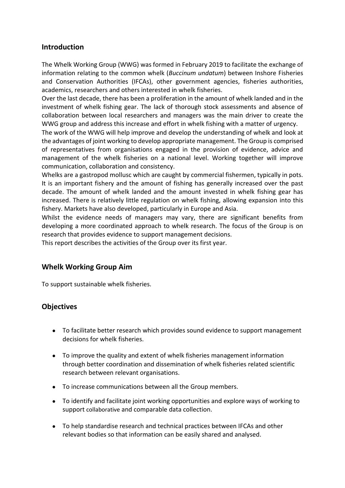#### **Introduction**

The Whelk Working Group (WWG) was formed in February 2019 to facilitate the exchange of information relating to the common whelk (*Buccinum undatum*) between Inshore Fisheries and Conservation Authorities (IFCAs), other government agencies, fisheries authorities, academics, researchers and others interested in whelk fisheries.

Over the last decade, there has been a proliferation in the amount of whelk landed and in the investment of whelk fishing gear. The lack of thorough stock assessments and absence of collaboration between local researchers and managers was the main driver to create the WWG group and address this increase and effort in whelk fishing with a matter of urgency.

The work of the WWG will help improve and develop the understanding of whelk and look at the advantages of joint working to develop appropriate management. The Group is comprised of representatives from organisations engaged in the provision of evidence, advice and management of the whelk fisheries on a national level. Working together will improve communication, collaboration and consistency.

Whelks are a gastropod mollusc which are caught by commercial fishermen, typically in pots. It is an important fishery and the amount of fishing has generally increased over the past decade. The amount of whelk landed and the amount invested in whelk fishing gear has increased. There is relatively little regulation on whelk fishing, allowing expansion into this fishery. Markets have also developed, particularly in Europe and Asia.

Whilst the evidence needs of managers may vary, there are significant benefits from developing a more coordinated approach to whelk research. The focus of the Group is on research that provides evidence to support management decisions.

This report describes the activities of the Group over its first year.

# **Whelk Working Group Aim**

To support sustainable whelk fisheries.

# **Objectives**

- To facilitate better research which provides sound evidence to support management decisions for whelk fisheries.
- To improve the quality and extent of whelk fisheries management information through better coordination and dissemination of whelk fisheries related scientific research between relevant organisations.
- To increase communications between all the Group members.
- To identify and facilitate joint working opportunities and explore ways of working to support collaborative and comparable data collection.
- To help standardise research and technical practices between IFCAs and other relevant bodies so that information can be easily shared and analysed.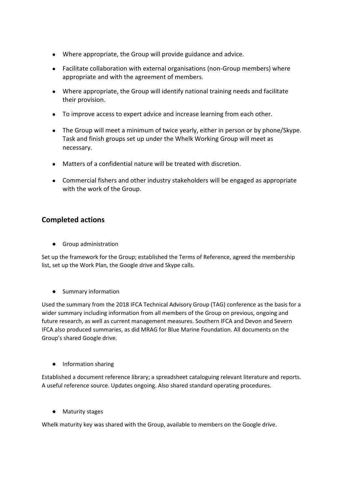- Where appropriate, the Group will provide guidance and advice.
- Facilitate collaboration with external organisations (non-Group members) where appropriate and with the agreement of members.
- Where appropriate, the Group will identify national training needs and facilitate their provision.
- To improve access to expert advice and increase learning from each other.
- The Group will meet a minimum of twice yearly, either in person or by phone/Skype. Task and finish groups set up under the Whelk Working Group will meet as necessary.
- Matters of a confidential nature will be treated with discretion.
- Commercial fishers and other industry stakeholders will be engaged as appropriate with the work of the Group.

### **Completed actions**

● Group administration

Set up the framework for the Group; established the Terms of Reference, agreed the membership list, set up the Work Plan, the Google drive and Skype calls.

● Summary information

Used the summary from the 2018 IFCA Technical Advisory Group (TAG) conference as the basis for a wider summary including information from all members of the Group on previous, ongoing and future research, as well as current management measures. Southern IFCA and Devon and Severn IFCA also produced summaries, as did MRAG for Blue Marine Foundation. All documents on the Group's shared Google drive.

● Information sharing

Established a document reference library; a spreadsheet cataloguing relevant literature and reports. A useful reference source. Updates ongoing. Also shared standard operating procedures.

● Maturity stages

Whelk maturity key was shared with the Group, available to members on the Google drive.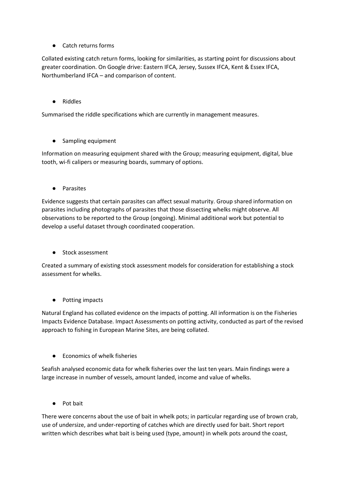**Catch returns forms** 

Collated existing catch return forms, looking for similarities, as starting point for discussions about greater coordination. On Google drive: Eastern IFCA, Jersey, Sussex IFCA, Kent & Essex IFCA, Northumberland IFCA – and comparison of content.

● Riddles

Summarised the riddle specifications which are currently in management measures.

● Sampling equipment

Information on measuring equipment shared with the Group; measuring equipment, digital, blue tooth, wi-fi calipers or measuring boards, summary of options.

● Parasites

Evidence suggests that certain parasites can affect sexual maturity. Group shared information on parasites including photographs of parasites that those dissecting whelks might observe. All observations to be reported to the Group (ongoing). Minimal additional work but potential to develop a useful dataset through coordinated cooperation.

● Stock assessment

Created a summary of existing stock assessment models for consideration for establishing a stock assessment for whelks.

● Potting impacts

Natural England has collated evidence on the impacts of potting. All information is on the Fisheries Impacts Evidence Database. Impact Assessments on potting activity, conducted as part of the revised approach to fishing in European Marine Sites, are being collated.

Economics of whelk fisheries

Seafish analysed economic data for whelk fisheries over the last ten years. Main findings were a large increase in number of vessels, amount landed, income and value of whelks.

● Pot bait

There were concerns about the use of bait in whelk pots; in particular regarding use of brown crab, use of undersize, and under-reporting of catches which are directly used for bait. Short report written which describes what bait is being used (type, amount) in whelk pots around the coast,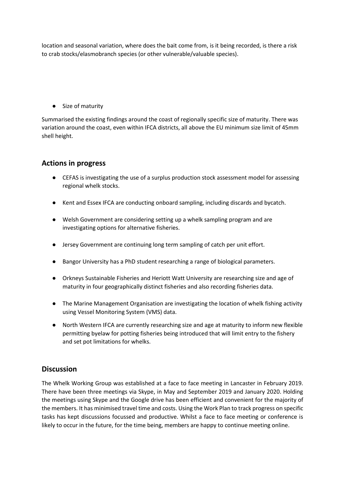location and seasonal variation, where does the bait come from, is it being recorded, is there a risk to crab stocks/elasmobranch species (or other vulnerable/valuable species).

● Size of maturity

Summarised the existing findings around the coast of regionally specific size of maturity. There was variation around the coast, even within IFCA districts, all above the EU minimum size limit of 45mm shell height.

#### **Actions in progress**

- CEFAS is investigating the use of a surplus production stock assessment model for assessing regional whelk stocks.
- Kent and Essex IFCA are conducting onboard sampling, including discards and bycatch.
- Welsh Government are considering setting up a whelk sampling program and are investigating options for alternative fisheries.
- Jersey Government are continuing long term sampling of catch per unit effort.
- Bangor University has a PhD student researching a range of biological parameters.
- Orkneys Sustainable Fisheries and Heriott Watt University are researching size and age of maturity in four geographically distinct fisheries and also recording fisheries data.
- The Marine Management Organisation are investigating the location of whelk fishing activity using Vessel Monitoring System (VMS) data.
- North Western IFCA are currently researching size and age at maturity to inform new flexible permitting byelaw for potting fisheries being introduced that will limit entry to the fishery and set pot limitations for whelks.

#### **Discussion**

The Whelk Working Group was established at a face to face meeting in Lancaster in February 2019. There have been three meetings via Skype, in May and September 2019 and January 2020. Holding the meetings using Skype and the Google drive has been efficient and convenient for the majority of the members. It has minimised travel time and costs. Using the Work Plan to track progress on specific tasks has kept discussions focussed and productive. Whilst a face to face meeting or conference is likely to occur in the future, for the time being, members are happy to continue meeting online.